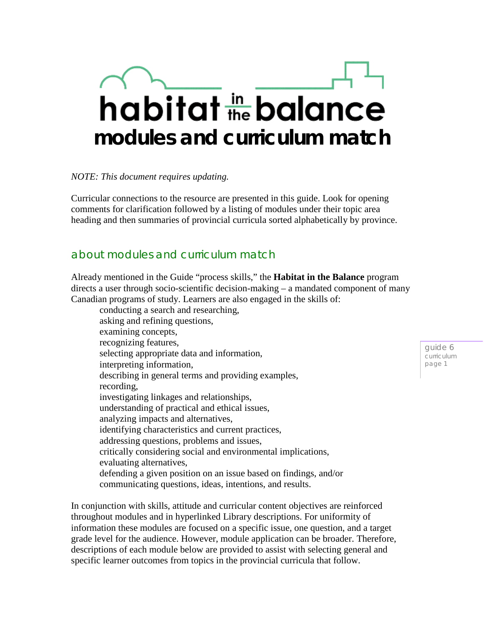# habitat the balance **modules and curriculum match**

*NOTE: This document requires updating.* 

Curricular connections to the resource are presented in this guide. Look for opening comments for clarification followed by a listing of modules under their topic area heading and then summaries of provincial curricula sorted alphabetically by province.

## about modules and curriculum match

Already mentioned in the Guide "process skills," the **Habitat in the Balance** program directs a user through socio-scientific decision-making – a mandated component of many Canadian programs of study. Learners are also engaged in the skills of:

conducting a search and researching, asking and refining questions, examining concepts, recognizing features, selecting appropriate data and information, interpreting information, describing in general terms and providing examples, recording, investigating linkages and relationships, understanding of practical and ethical issues, analyzing impacts and alternatives, identifying characteristics and current practices, addressing questions, problems and issues, critically considering social and environmental implications, evaluating alternatives, defending a given position on an issue based on findings, and/or communicating questions, ideas, intentions, and results.

In conjunction with skills, attitude and curricular content objectives are reinforced throughout modules and in hyperlinked Library descriptions. For uniformity of information these modules are focused on a specific issue, one question, and a target grade level for the audience. However, module application can be broader. Therefore, descriptions of each module below are provided to assist with selecting general and specific learner outcomes from topics in the provincial curricula that follow.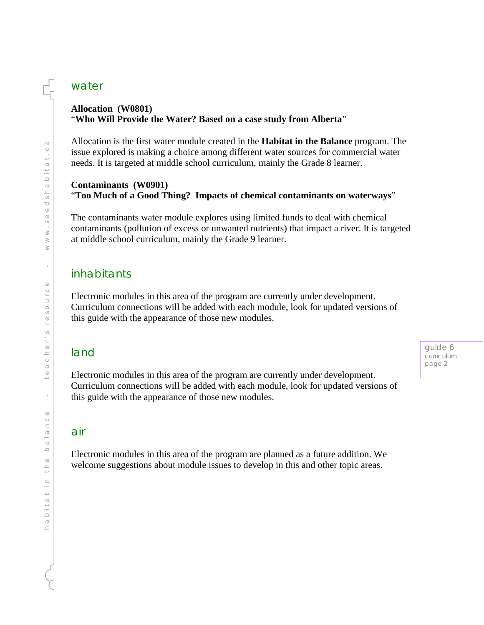### water

#### **Allocation (W0801)** "**Who Will Provide the Water? Based on a case study from Alberta**"

Allocation is the first water module created in the **Habitat in the Balance** program. The issue explored is making a choice among different water sources for commercial water needs. It is targeted at middle school curriculum, mainly the Grade 8 learner.

#### **Contaminants (W0901)** "**Too Much of a Good Thing? Impacts of chemical contaminants on waterways**"

The contaminants water module explores using limited funds to deal with chemical contaminants (pollution of excess or unwanted nutrients) that impact a river. It is targeted at middle school curriculum, mainly the Grade 9 learner.

## inhabitants

Electronic modules in this area of the program are currently under development. Curriculum connections will be added with each module, look for updated versions of this guide with the appearance of those new modules.

## land

Electronic modules in this area of the program are currently under development. Curriculum connections will be added with each module, look for updated versions of this guide with the appearance of those new modules.

## air

Electronic modules in this area of the program are planned as a future addition. We welcome suggestions about module issues to develop in this and other topic areas.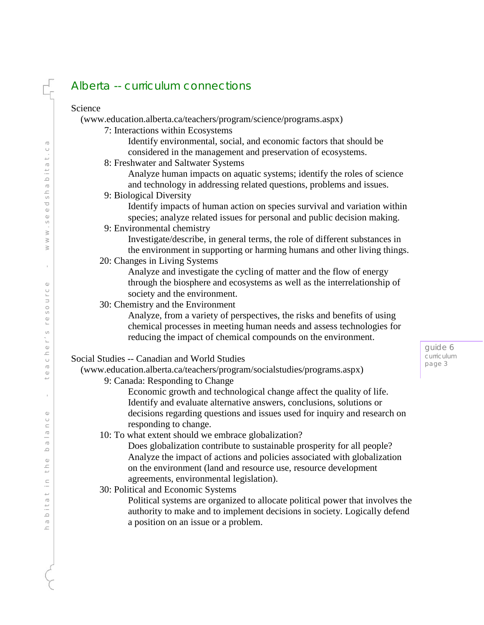# Alberta -- curriculum connections

| Science                                                                       |
|-------------------------------------------------------------------------------|
| (www.education.alberta.ca/teachers/program/science/programs.aspx)             |
| 7: Interactions within Ecosystems                                             |
| Identify environmental, social, and economic factors that should be           |
| considered in the management and preservation of ecosystems.                  |
| 8: Freshwater and Saltwater Systems                                           |
| Analyze human impacts on aquatic systems; identify the roles of science       |
| and technology in addressing related questions, problems and issues.          |
| 9: Biological Diversity                                                       |
| Identify impacts of human action on species survival and variation within     |
| species; analyze related issues for personal and public decision making.      |
| 9: Environmental chemistry                                                    |
| Investigate/describe, in general terms, the role of different substances in   |
| the environment in supporting or harming humans and other living things.      |
| 20: Changes in Living Systems                                                 |
| Analyze and investigate the cycling of matter and the flow of energy          |
| through the biosphere and ecosystems as well as the interrelationship of      |
| society and the environment.<br>30: Chemistry and the Environment             |
| Analyze, from a variety of perspectives, the risks and benefits of using      |
| chemical processes in meeting human needs and assess technologies for         |
| reducing the impact of chemical compounds on the environment.                 |
|                                                                               |
| Social Studies -- Canadian and World Studies                                  |
| (www.education.alberta.ca/teachers/program/socialstudies/programs.aspx)       |
| 9: Canada: Responding to Change                                               |
| Economic growth and technological change affect the quality of life.          |
| Identify and evaluate alternative answers, conclusions, solutions or          |
| decisions regarding questions and issues used for inquiry and research on     |
| responding to change.                                                         |
| 10: To what extent should we embrace globalization?                           |
| Does globalization contribute to sustainable prosperity for all people?       |
| Analyze the impact of actions and policies associated with globalization      |
| on the environment (land and resource use, resource development               |
| agreements, environmental legislation).                                       |
| 30: Political and Economic Systems                                            |
| Political systems are organized to allocate political power that involves the |
| authority to make and to implement decisions in society. Logically defend     |
| a position on an issue or a problem.                                          |
|                                                                               |

guide 6 curriculum page 3

ť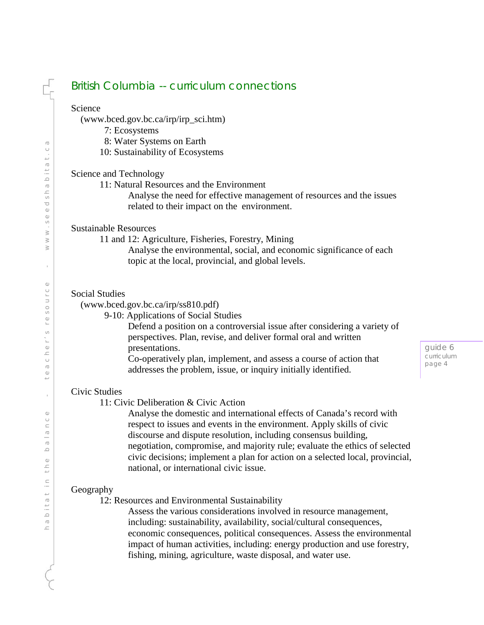## British Columbia -- curriculum connections

#### Science

(www.bced.gov.bc.ca/irp/irp\_sci.htm)

- 7: Ecosystems
- 8: Water Systems on Earth
- 10: Sustainability of Ecosystems

#### Science and Technology

11: Natural Resources and the Environment

Analyse the need for effective management of resources and the issues related to their impact on the environment.

#### Sustainable Resources

11 and 12: Agriculture, Fisheries, Forestry, Mining

Analyse the environmental, social, and economic significance of each topic at the local, provincial, and global levels.

#### Social Studies

(www.bced.gov.bc.ca/irp/ss810.pdf)

9-10: Applications of Social Studies

Defend a position on a controversial issue after considering a variety of perspectives. Plan, revise, and deliver formal oral and written presentations.

Co-operatively plan, implement, and assess a course of action that addresses the problem, issue, or inquiry initially identified.

#### Civic Studies

11: Civic Deliberation & Civic Action

Analyse the domestic and international effects of Canada's record with respect to issues and events in the environment. Apply skills of civic discourse and dispute resolution, including consensus building, negotiation, compromise, and majority rule; evaluate the ethics of selected civic decisions; implement a plan for action on a selected local, provincial, national, or international civic issue.

#### Geography

12: Resources and Environmental Sustainability

Assess the various considerations involved in resource management, including: sustainability, availability, social/cultural consequences, economic consequences, political consequences. Assess the environmental impact of human activities, including: energy production and use forestry, fishing, mining, agriculture, waste disposal, and water use.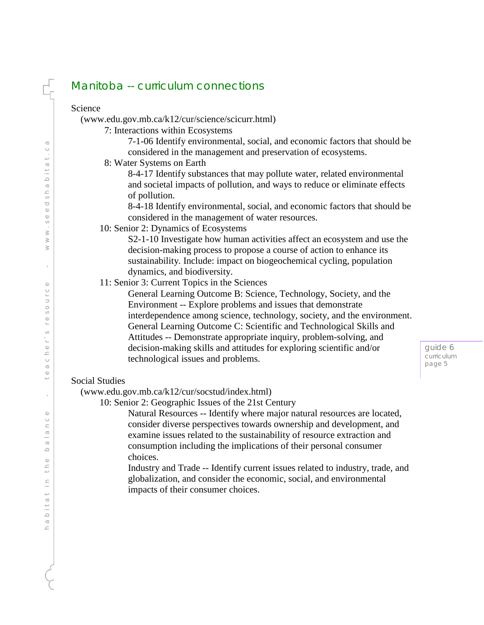# Manitoba -- curriculum connections

| Science                                                                                                                                                                                                                                                                                                                                                                                                                                                                                                                                                                                                                                                                                                                                       |
|-----------------------------------------------------------------------------------------------------------------------------------------------------------------------------------------------------------------------------------------------------------------------------------------------------------------------------------------------------------------------------------------------------------------------------------------------------------------------------------------------------------------------------------------------------------------------------------------------------------------------------------------------------------------------------------------------------------------------------------------------|
| (www.edu.gov.mb.ca/k12/cur/science/scicurr.html)                                                                                                                                                                                                                                                                                                                                                                                                                                                                                                                                                                                                                                                                                              |
| 7: Interactions within Ecosystems                                                                                                                                                                                                                                                                                                                                                                                                                                                                                                                                                                                                                                                                                                             |
| 7-1-06 Identify environmental, social, and economic factors that should be                                                                                                                                                                                                                                                                                                                                                                                                                                                                                                                                                                                                                                                                    |
| considered in the management and preservation of ecosystems.                                                                                                                                                                                                                                                                                                                                                                                                                                                                                                                                                                                                                                                                                  |
| 8: Water Systems on Earth                                                                                                                                                                                                                                                                                                                                                                                                                                                                                                                                                                                                                                                                                                                     |
| 8-4-17 Identify substances that may pollute water, related environmental<br>and societal impacts of pollution, and ways to reduce or eliminate effects<br>of pollution.                                                                                                                                                                                                                                                                                                                                                                                                                                                                                                                                                                       |
| 8-4-18 Identify environmental, social, and economic factors that should be                                                                                                                                                                                                                                                                                                                                                                                                                                                                                                                                                                                                                                                                    |
| considered in the management of water resources.                                                                                                                                                                                                                                                                                                                                                                                                                                                                                                                                                                                                                                                                                              |
| 10: Senior 2: Dynamics of Ecosystems                                                                                                                                                                                                                                                                                                                                                                                                                                                                                                                                                                                                                                                                                                          |
| S2-1-10 Investigate how human activities affect an ecosystem and use the<br>decision-making process to propose a course of action to enhance its<br>sustainability. Include: impact on biogeochemical cycling, population<br>dynamics, and biodiversity.<br>11: Senior 3: Current Topics in the Sciences<br>General Learning Outcome B: Science, Technology, Society, and the<br>Environment -- Explore problems and issues that demonstrate<br>interdependence among science, technology, society, and the environment.<br>General Learning Outcome C: Scientific and Technological Skills and<br>Attitudes -- Demonstrate appropriate inquiry, problem-solving, and<br>decision-making skills and attitudes for exploring scientific and/or |
| technological issues and problems.                                                                                                                                                                                                                                                                                                                                                                                                                                                                                                                                                                                                                                                                                                            |
| <b>Social Studies</b>                                                                                                                                                                                                                                                                                                                                                                                                                                                                                                                                                                                                                                                                                                                         |
| (www.edu.gov.mb.ca/k12/cur/socstud/index.html)<br>10: Senior 2: Geographic Issues of the 21st Century<br>Natural Resources -- Identify where major natural resources are located,<br>consider diverse perspectives towards ownership and development, and<br>examine issues related to the sustainability of resource extraction and<br>consumption including the implications of their personal consumer<br>choices.                                                                                                                                                                                                                                                                                                                         |
| Industry and Trade -- Identify current issues related to industry, trade, and<br>globalization, and consider the economic, social, and environmental<br>impacts of their consumer choices.                                                                                                                                                                                                                                                                                                                                                                                                                                                                                                                                                    |

ť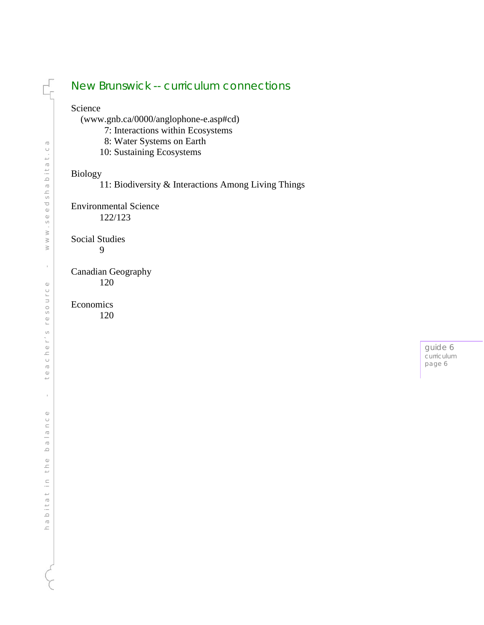## New Brunswick -- curriculum connections

#### Science

ť

(www.gnb.ca/0000/anglophone -e.asp#cd)

- 7: Interactions within Ecosystems
- 8: Water Systems on Earth
- 10: Sustaining Ecosystems

#### Biology

11: Biodiversity & Interactions Among Living Things

Environmental Science 122/123

Social Studies 9

Canadian Geography

120

#### Economics

120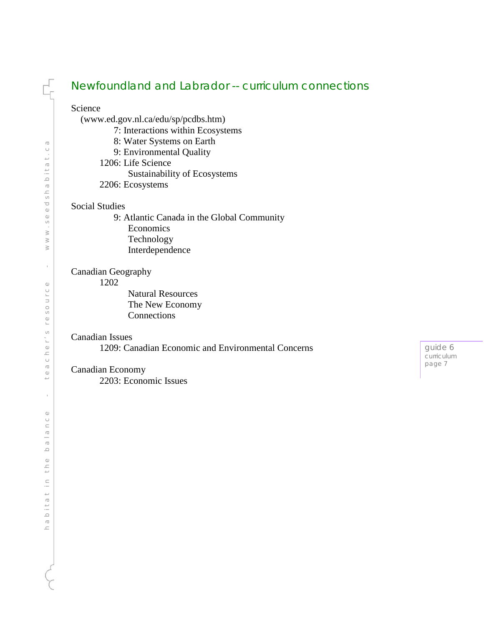## Newfoundland and Labrador -- curriculum connections

Science

(www.ed.gov.nl.ca/edu/sp/pcdbs.htm)

- 7: Interactions within Ecosystems
- 8: Water Systems on Earth
- 9: Environmental Quality

1206: Life Science

Sustainability of Ecosystems

2206: Ecosystems

#### Social Studies

 9: Atlantic Canada in the Global Community Economics Technology Interdependence

#### Canadian Geography

1202

Natural Resources The New Economy Connections

#### Canadian Issues

1209: Canadian Economic and Environmental Concerns

#### Canadian Economy

2203: Economic Issues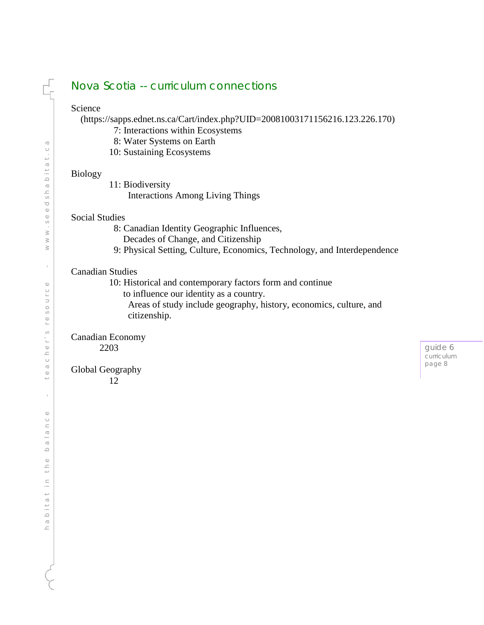## Nova Scotia -- curriculum connections

#### Science

(https://sapps.ednet.ns.ca/Cart/index.php?UID=20081003171156216.123.226.170)

- 7: Interactions within Ecosystems
- 8: Water Systems on Earth
- 10: Sustaining Ecosystems

#### Biology

11: Biodiversity

Interactions Among Living Things

#### Social Studies

8: Canadian Identity Geographic Influences,

- Decades of Change, and Citizenship
- 9: Physical Setting, Culture, Economics, Technology, and Interdependence

#### Canadian Studies

10: Historical and contemporary factors form and continue

- to influence our identity as a country.
	- Areas of study include geography, history, economics, culture, and citizenship.

#### Canadian Economy 2203

Global Geography

12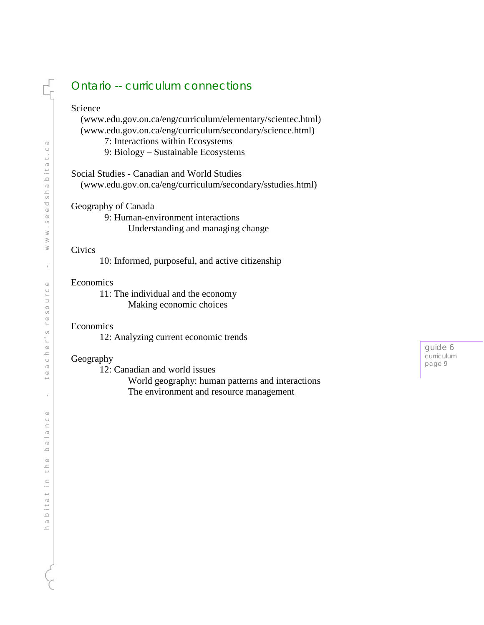## Ontario -- curriculum connections

#### Science

 (www.edu.gov.on.ca/eng/curriculum/elementary/scientec.html) (www.edu.gov.on.ca/eng/curriculum/secondary/science.html)

7: Interactions within Ecosystems

9: Biology – Sustainable Ecosystems

Social Studies - Canadian and World Studies

(www.edu.gov.on.ca/eng/curriculum/secondary/sstudies.html )

Geography of Canada

 9: Human -environment interactions Understanding and managing change

#### Civics

10: Informed, purposeful, and active citizenship

#### Economics

11: The individual and the economy Making economic choices

#### Economics

12: Analyzing current economic trends

#### Geography

12: Canadian and world issues

World geography: human patterns and interactions The environment and resource management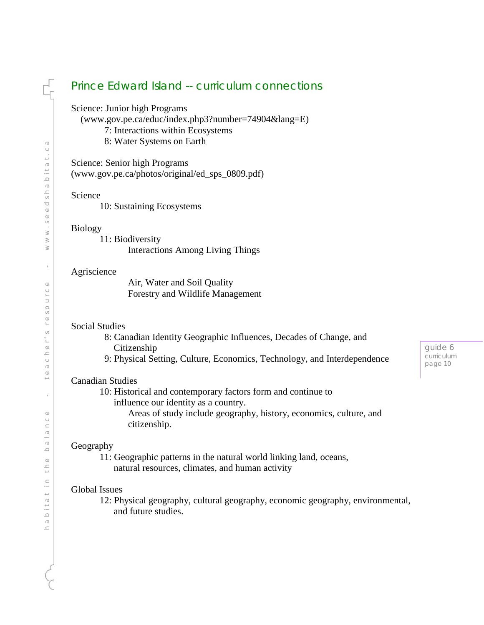## Prince Edward Island -- curriculum connections

Science: Junior high Programs

(www.gov.pe.ca/educ/index.php3?number=74904&lang=E)

- 7: Interactions within Ecosystems
- 8: Water Systems on Earth

Science: Senior high Programs (www.gov.pe.ca/photos/original/ed\_sps\_0809.pdf)

#### Science

10: Sustaining Ecosystems

#### Biology

11: Biodiversity Interactions Among Living Things

#### **Agriscience**

Air, Water and Soil Quality Forestry and Wildlife Management

#### Social Studies

- 8: Canadian Identity Geographic Influences, Decades of Change, and Citizenship
- 9: Physical Setting, Culture, Economics, Technology, and Interdependence

#### Canadian Studies

10: Historical and contemporary factors form and continue to influence our identity as a country.

> Areas of study include geography, history, economics, culture, and citizenship.

#### Geography

11: Geographic patterns in the natural world linking land, oceans, natural resources, climates, and human activity

#### Global Issues

12: Physical geography, cultural geography, economic geography, environmental, and future studies.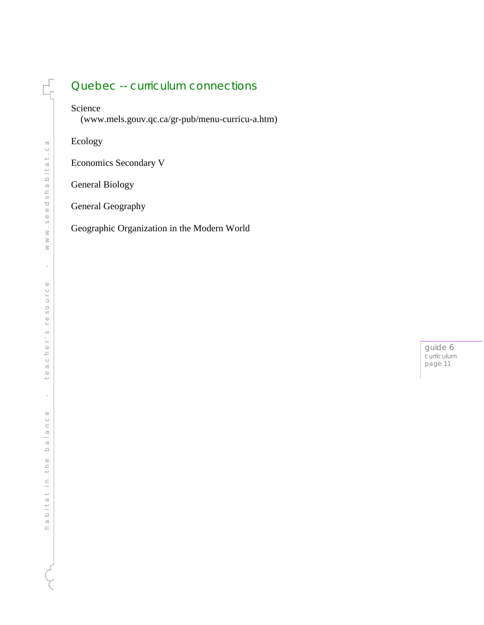## Quebec -- curriculum connections

## Science

F

(www.mels.gouv.qc.ca/gr -pub/menu -curricu -a.htm)

Ecology

Economics Secondary V

General Biology

General Geography

Geographic Organization in the Modern World